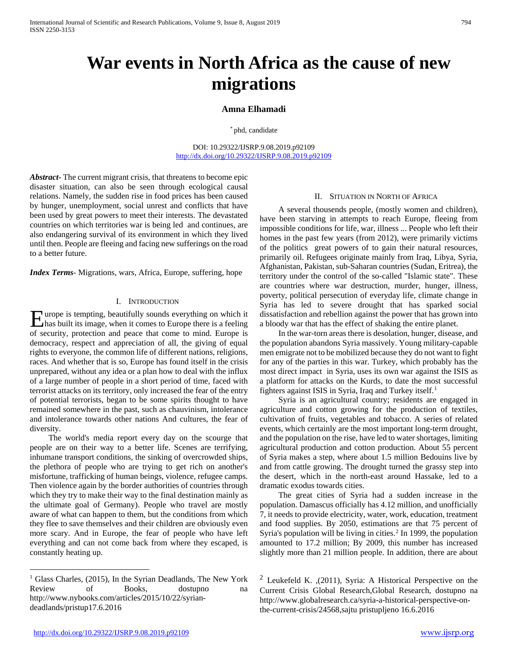# **War events in North Africa as the cause of new migrations**

## **Amna Elhamadi**

\* phd, candidate

DOI: 10.29322/IJSRP.9.08.2019.p92109 <http://dx.doi.org/10.29322/IJSRP.9.08.2019.p92109>

*Abstract***-** The current migrant crisis, that threatens to become epic disaster situation, can also be seen through ecological causal relations. Namely, the sudden rise in food prices has been caused by hunger, unemployment, social unrest and conflicts that have been used by great powers to meet their interests. The devastated countries on which territories war is being led and continues, are also endangering survival of its environment in which they lived until then. People are fleeing and facing new sufferings on the road to a better future.

*Index Terms*- Migrations, wars, Africa, Europe, suffering, hope

#### I. INTRODUCTION

urope is tempting, beautifully sounds everything on which it Europe is tempting, beautifully sounds everything on which it<br>has built its image, when it comes to Europe there is a feeling of security, protection and peace that come to mind. Europe is democracy, respect and appreciation of all, the giving of equal rights to everyone, the common life of different nations, religions, races. And whether that is so, Europe has found itself in the crisis unprepared, without any idea or a plan how to deal with the influx of a large number of people in a short period of time, faced with terrorist attacks on its territory, only increased the fear of the entry of potential terrorists, began to be some spirits thought to have remained somewhere in the past, such as chauvinism, intolerance and intolerance towards other nations And cultures, the fear of diversity.

 The world's media report every day on the scourge that people are on their way to a better life. Scenes are terrifying, inhumane transport conditions, the sinking of overcrowded ships, the plethora of people who are trying to get rich on another's misfortune, trafficking of human beings, violence, refugee camps. Then violence again by the border authorities of countries through which they try to make their way to the final destination mainly as the ultimate goal of Germany). People who travel are mostly aware of what can happen to them, but the conditions from which they flee to save themselves and their children are obviously even more scary. And in Europe, the fear of people who have left everything and can not come back from where they escaped, is constantly heating up.

### II. SITUATION IN NORTH OF AFRICA

 A several thousends people, (mostly women and children), have been starving in attempts to reach Europe, fleeing from impossible conditions for life, war, illness ... People who left their homes in the past few years (from 2012), were primarily victims of the politics great powers of to gain their natural resources, primarily oil. Refugees originate mainly from Iraq, Libya, Syria, Afghanistan, Pakistan, sub-Saharan countries (Sudan, Eritrea), the territory under the control of the so-called "Islamic state". These are countries where war destruction, murder, hunger, illness, poverty, political persecution of everyday life, climate change in Syria has led to severe drought that has sparked social dissatisfaction and rebellion against the power that has grown into a bloody war that has the effect of shaking the entire planet.

 In the war-torn areas there is desolation, hunger, disease, and the population abandons Syria massively. Young military-capable men emigrate not to be mobilized because they do not want to fight for any of the parties in this war. Turkey, which probably has the most direct impact in Syria, uses its own war against the ISIS as a platform for attacks on the Kurds, to date the most successful fighters against ISIS in Syria, Iraq and Turkey itself.<sup>[1](#page-0-0)</sup>

 Syria is an agricultural country; residents are engaged in agriculture and cotton growing for the production of textiles, cultivation of fruits, vegetables and tobacco. A series of related events, which certainly are the most important long-term drought, and the population on the rise, have led to water shortages, limiting agricultural production and cotton production. About 55 percent of Syria makes a step, where about 1.5 million Bedouins live by and from cattle growing. The drought turned the grassy step into the desert, which in the north-east around Hassake, led to a dramatic exodus towards cities.

 The great cities of Syria had a sudden increase in the population. Damascus officially has 4.12 million, and unofficially 7, it needs to provide electricity, water, work, education, treatment and food supplies. By 2050, estimations are that 75 percent of Syria's population will be living in cities. [2](#page-0-0) In 1999, the population amounted to 17.2 million; By 2009, this number has increased slightly more than 21 million people. In addition, there are about

<span id="page-0-0"></span><sup>&</sup>lt;sup>1</sup> Glass Charles, (2015), In the Syrian Deadlands, The New York Review of Books, dostupno na http://www.nybooks.com/articles/2015/10/22/syriandeadlands/pristup17.6.2016

<sup>&</sup>lt;sup>2</sup> Leukefeld K. , (2011), Syria: A Historical Perspective on the Current Crisis Global Research,Global Research, dostupno na http://www.globalresearch.ca/syria-a-historical-perspective-onthe-current-crisis/24568,sajtu pristupljeno 16.6.2016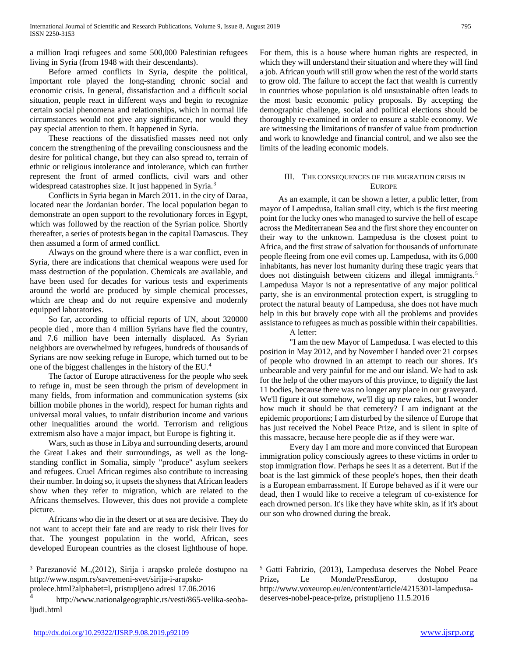a million Iraqi refugees and some 500,000 Palestinian refugees living in Syria (from 1948 with their descendants).

 Before armed conflicts in Syria, despite the political, important role played the long-standing chronic social and economic crisis. In general, dissatisfaction and a difficult social situation, people react in different ways and begin to recognize certain social phenomena and relationships, which in normal life circumstances would not give any significance, nor would they pay special attention to them. It happened in Syria.

 These reactions of the dissatisfied masses need not only concern the strengthening of the prevailing consciousness and the desire for political change, but they can also spread to, terrain of ethnic or religious intolerance and intolerance, which can further represent the front of armed conflicts, civil wars and other widespread catastrophes size. It just happened in Syria.<sup>[3](#page-1-0)</sup>

 Conflicts in Syria began in March 2011. in the city of Daraa, located near the Jordanian border. The local population began to demonstrate an open support to the revolutionary forces in Egypt, which was followed by the reaction of the Syrian police. Shortly thereafter, a series of protests began in the capital Damascus. They then assumed a form of armed conflict.

 Always on the ground where there is a war conflict, even in Syria, there are indications that chemical weapons were used for mass destruction of the population. Chemicals are available, and have been used for decades for various tests and experiments around the world are produced by simple chemical processes, which are cheap and do not require expensive and modernly equipped laboratories.

 So far, according to official reports of UN, about 320000 people died , more than 4 million Syrians have fled the country, and 7.6 million have been internally displaced. As Syrian neighbors are overwhelmed by refugees, hundreds of thousands of Syrians are now seeking refuge in Europe, which turned out to be one of the biggest challenges in the history of the EU.[4](#page-1-1)

 The factor of Europe attractiveness for the people who seek to refuge in, must be seen through the prism of development in many fields, from information and communication systems (six billion mobile phones in the world), respect for human rights and universal moral values, to unfair distribution income and various other inequalities around the world. Terrorism and religious extremism also have a major impact, but Europe is fighting it.

 Wars, such as those in Libya and surrounding deserts, around the Great Lakes and their surroundings, as well as the longstanding conflict in Somalia, simply "produce" asylum seekers and refugees. Cruel African regimes also contribute to increasing their number. In doing so, it upsets the shyness that African leaders show when they refer to migration, which are related to the Africans themselves. However, this does not provide a complete picture.

 Africans who die in the desert or at sea are decisive. They do not want to accept their fate and are ready to risk their lives for that. The youngest population in the world, African, sees developed European countries as the closest lighthouse of hope. For them, this is a house where human rights are respected, in which they will understand their situation and where they will find a job. African youth will still grow when the rest of the world starts to grow old. The failure to accept the fact that wealth is currently in countries whose population is old unsustainable often leads to the most basic economic policy proposals. By accepting the demographic challenge, social and political elections should be thoroughly re-examined in order to ensure a stable economy. We are witnessing the limitations of transfer of value from production and work to knowledge and financial control, and we also see the limits of the leading economic models.

## III. THE CONSEQUENCES OF THE MIGRATION CRISIS IN **EUROPE**

 As an example, it can be shown a letter, a public letter, from mayor of Lampedusa, Italian small city, which is the first meeting point for the lucky ones who managed to survive the hell of escape across the Mediterranean Sea and the first shore they encounter on their way to the unknown. Lampedusa is the closest point to Africa, and the first straw of salvation for thousands of unfortunate people fleeing from one evil comes up. Lampedusa, with its 6,000 inhabitants, has never lost humanity during these tragic years that does not distinguish between citizens and illegal immigrants. [5](#page-1-0) Lampedusa Mayor is not a representative of any major political party, she is an environmental protection expert, is struggling to protect the natural beauty of Lampedusa, she does not have much help in this but bravely cope with all the problems and provides assistance to refugees as much as possible within their capabilities.

A letter:

"I am the new Mayor of Lampedusa. I was elected to this position in May 2012, and by November I handed over 21 corpses of people who drowned in an attempt to reach our shores. It's unbearable and very painful for me and our island. We had to ask for the help of the other mayors of this province, to dignify the last 11 bodies, because there was no longer any place in our graveyard. We'll figure it out somehow, we'll dig up new rakes, but I wonder how much it should be that cemetery? I am indignant at the epidemic proportions; I am disturbed by the silence of Europe that has just received the Nobel Peace Prize, and is silent in spite of this massacre, because here people die as if they were war.

Every day I am more and more convinced that European immigration policy consciously agrees to these victims in order to stop immigration flow. Perhaps he sees it as a deterrent. But if the boat is the last gimmick of these people's hopes, then their death is a European embarrassment. If Europe behaved as if it were our dead, then I would like to receive a telegram of co-existence for each drowned person. It's like they have white skin, as if it's about our son who drowned during the break.

<span id="page-1-0"></span> <sup>3</sup> Parezanović M.,(2012), Sirija i arapsko proleće dostupno na http://www.nspm.rs/savremeni-svet/sirija-i-arapsko-

prolece.html?alphabet=l, pristupljeno adresi 17.06.2016

<span id="page-1-1"></span>http://www.nationalgeographic.rs/vesti/865-velika-seobaljudi.html

<sup>5</sup> Gatti Fabrizio, (2013), Lampedusa deserves the Nobel Peace Prize**,** Le Monde/PressEurop, dostupno na http://www.voxeurop.eu/en/content/article/4215301-lampedusadeserves-nobel-peace-prize**,** pristupljeno 11.5.2016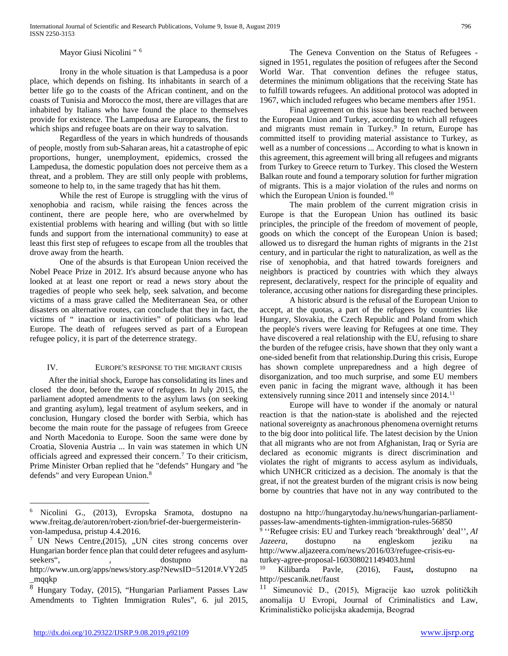Mayor Giusi Nicolini " [6](#page-2-0)

Irony in the whole situation is that Lampedusa is a poor place, which depends on fishing. Its inhabitants in search of a better life go to the coasts of the African continent, and on the coasts of Tunisia and Morocco the most, there are villages that are inhabited by Italians who have found the place to themselves provide for existence. The Lampedusa are Europeans, the first to which ships and refugee boats are on their way to salvation.

Regardless of the years in which hundreds of thousands of people, mostly from sub-Saharan areas, hit a catastrophe of epic proportions, hunger, unemployment, epidemics, crossed the Lampedusa, the domestic population does not perceive them as a threat, and a problem. They are still only people with problems, someone to help to, in the same tragedy that has hit them.

While the rest of Europe is struggling with the virus of xenophobia and racism, while raising the fences across the continent, there are people here, who are overwhelmed by existential problems with hearing and willing (but with so little funds and support from the international community) to ease at least this first step of refugees to escape from all the troubles that drove away from the hearth.

One of the absurds is that European Union received the Nobel Peace Prize in 2012. It's absurd because anyone who has looked at at least one report or read a news story about the tragedies of people who seek help, seek salvation, and become victims of a mass grave called the Mediterranean Sea, or other disasters on alternative routes, can conclude that they in fact, the victims of " inaction or inactivities" of politicians who lead Europe. The death of refugees served as part of a European refugee policy, it is part of the deterrence strategy.

## IV. EUROPE'S RESPONSE TO THE MIGRANT CRISIS

 After the initial shock, Europe has consolidating its lines and closed the door, before the wave of refugees. In July 2015, the parliament adopted amendments to the asylum laws (on seeking and granting asylum), legal treatment of asylum seekers, and in conclusion, Hungary closed the border with Serbia, which has become the main route for the passage of refugees from Greece and North Macedonia to Europe. Soon the same were done by Croatia, Slovenia Austria ... In vain was statemen in which UN officials agreed and expressed their concern. [7](#page-2-1) To their criticism, Prime Minister Orban replied that he "defends" Hungary and "he defends" and very European Union.<sup>[8](#page-2-2)</sup>

The Geneva Convention on the Status of Refugees signed in 1951, regulates the position of refugees after the Second World War. That convention defines the refugee status, determines the minimum obligations that the receiving State has to fulfill towards refugees. An additional protocol was adopted in 1967, which included refugees who became members after 1951.

Final agreement on this issue has been reached between the European Union and Turkey, according to which all refugees and migrants must remain in Turkey.<sup>[9](#page-2-3)</sup> In return, Europe has committed itself to providing material assistance to Turkey, as well as a number of concessions ... According to what is known in this agreement, this agreement will bring all refugees and migrants from Turkey to Greece return to Turkey. This closed the Western Balkan route and found a temporary solution for further migration of migrants. This is a major violation of the rules and norms on which the European Union is founded.<sup>[10](#page-2-4)</sup>

The main problem of the current migration crisis in Europe is that the European Union has outlined its basic principles, the principle of the freedom of movement of people, goods on which the concept of the European Union is based; allowed us to disregard the human rights of migrants in the 21st century, and in particular the right to naturalization, as well as the rise of xenophobia, and that hatred towards foreigners and neighbors is practiced by countries with which they always represent, declaratively, respect for the principle of equality and tolerance, accusing other nations for disregarding these principles.

A historic absurd is the refusal of the European Union to accept, at the quotas, a part of the refugees by countries like Hungary, Slovakia, the Czech Republic and Poland from which the people's rivers were leaving for Refugees at one time. They have discovered a real relationship with the EU, refusing to share the burden of the refugee crisis, have shown that they only want a one-sided benefit from that relationship.During this crisis, Europe has shown complete unpreparedness and a high degree of disorganization, and too much surprise, and some EU members even panic in facing the migrant wave, although it has been extensively running since 20[11](#page-2-2) and intensely since 2014.<sup>11</sup>

Europe will have to wonder if the anomaly or natural reaction is that the nation-state is abolished and the rejected national sovereignty as anachronous phenomena overnight returns to the big door into political life. The latest decision by the Union that all migrants who are not from Afghanistan, Iraq or Syria are declared as economic migrants is direct discrimination and violates the right of migrants to access asylum as individuals, which UNHCR criticized as a decision. The anomaly is that the great, if not the greatest burden of the migrant crisis is now being borne by countries that have not in any way contributed to the

dostupno na http://hungarytoday.hu/news/hungarian-parliamentpasses-law-amendments-tighten-immigration-rules-56850

<sup>9</sup> ''Refugee crisis: EU and Turkey reach 'breakthrough' deal'', *Al Jazeera*, dostupno na engleskom jeziku na http://www.aljazeera.com/news/2016/03/refugee-crisis-euturkey-agree-proposal-160308021149403.html

<sup>10</sup> Kilibarda Pavle, (2016), Faust**,** dostupno na http://pescanik.net/faust

<span id="page-2-0"></span> <sup>6</sup> Nicolini G., (2013), Evropska Sramota, dostupno na www.freitag.de/autoren/robert-zion/brief-der-buergermeisterinvon-lampedusa, pristup 4.4.2016.

<span id="page-2-3"></span><span id="page-2-1"></span><sup>&</sup>lt;sup>7</sup> UN News Centre,  $(2015)$ , , UN cites strong concerns over Hungarian border fence plan that could deter refugees and asylumseekers", , , dostupno na http://www.un.org/apps/news/story.asp?NewsID=51201#.VY2d5

<span id="page-2-4"></span> $\frac{m}{8}$ Hungs <sup>8</sup> Hungary Today, (2015), "Hungarian Parliament Passes Law

<span id="page-2-2"></span>Amendments to Tighten Immigration Rules", 6. jul 2015,

Simeunović D., (2015), Migracije kao uzrok političkih anomalija U Evropi, Journal of Criminalistics and Law, Kriminalističko policijska akademija, Beograd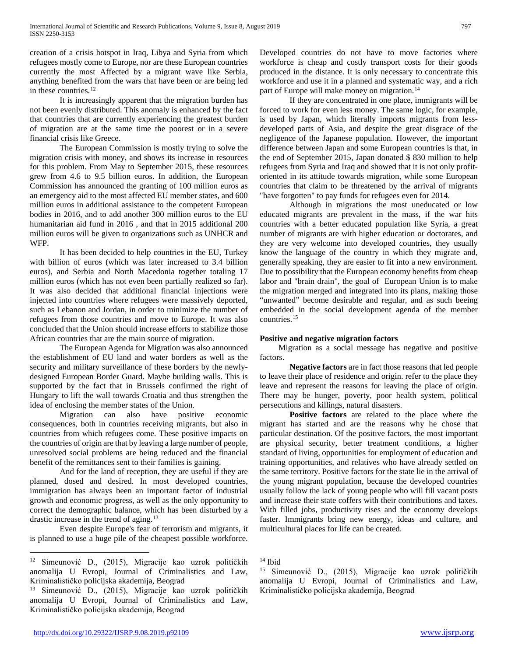creation of a crisis hotspot in Iraq, Libya and Syria from which refugees mostly come to Europe, nor are these European countries currently the most Affected by a migrant wave like Serbia, anything benefited from the wars that have been or are being led in these countries.<sup>[12](#page-3-0)</sup>

It is increasingly apparent that the migration burden has not been evenly distributed. This anomaly is enhanced by the fact that countries that are currently experiencing the greatest burden of migration are at the same time the poorest or in a severe financial crisis like Greece.

The European Commission is mostly trying to solve the migration crisis with money, and shows its increase in resources for this problem. From May to September 2015, these resources grew from 4.6 to 9.5 billion euros. In addition, the European Commission has announced the granting of 100 million euros as an emergency aid to the most affected EU member states, and 600 million euros in additional assistance to the competent European bodies in 2016, and to add another 300 million euros to the EU humanitarian aid fund in 2016 , and that in 2015 additional 200 million euros will be given to organizations such as UNHCR and WFP.

It has been decided to help countries in the EU, Turkey with billion of euros (which was later increased to 3.4 billion euros), and Serbia and North Macedonia together totaling 17 million euros (which has not even been partially realized so far). It was also decided that additional financial injections were injected into countries where refugees were massively deported, such as Lebanon and Jordan, in order to minimize the number of refugees from those countries and move to Europe. It was also concluded that the Union should increase efforts to stabilize those African countries that are the main source of migration.

The European Agenda for Migration was also announced the establishment of EU land and water borders as well as the security and military surveillance of these borders by the newlydesigned European Border Guard. Maybe building walls. This is supported by the fact that in Brussels confirmed the right of Hungary to lift the wall towards Croatia and thus strengthen the idea of enclosing the member states of the Union.

Migration can also have positive economic consequences, both in countries receiving migrants, but also in countries from which refugees come. These positive impacts on the countries of origin are that by leaving a large number of people, unresolved social problems are being reduced and the financial benefit of the remittances sent to their families is gaining.

And for the land of reception, they are useful if they are planned, dosed and desired. In most developed countries, immigration has always been an important factor of industrial growth and economic progress, as well as the only opportunity to correct the demographic balance, which has been disturbed by a drastic increase in the trend of aging.<sup>[13](#page-3-1)</sup>

Even despite Europe's fear of terrorism and migrants, it is planned to use a huge pile of the cheapest possible workforce. Developed countries do not have to move factories where workforce is cheap and costly transport costs for their goods produced in the distance. It is only necessary to concentrate this workforce and use it in a planned and systematic way, and a rich part of Europe will make money on migration.<sup>[14](#page-3-0)</sup>

If they are concentrated in one place, immigrants will be forced to work for even less money. The same logic, for example, is used by Japan, which literally imports migrants from lessdeveloped parts of Asia, and despite the great disgrace of the negligence of the Japanese population. However, the important difference between Japan and some European countries is that, in the end of September 2015, Japan donated \$ 830 million to help refugees from Syria and Iraq and showed that it is not only profitoriented in its attitude towards migration, while some European countries that claim to be threatened by the arrival of migrants "have forgotten" to pay funds for refugees even for 2014.

Although in migrations the most uneducated or low educated migrants are prevalent in the mass, if the war hits countries with a better educated population like Syria, a great number of migrants are with higher education or doctorates, and they are very welcome into developed countries, they usually know the language of the country in which they migrate and, generally speaking, they are easier to fit into a new environment. Due to possibility that the European economy benefits from cheap labor and "brain drain", the goal of European Union is to make the migration merged and integrated into its plans, making those "unwanted" become desirable and regular, and as such beeing embedded in the social development agenda of the member countries. [15](#page-3-2)

## **Positive and negative migration factors**

 Migration as a social message has negative and positive factors.

**Negative factors** are in fact those reasons that led people to leave their place of residence and origin. refer to the place they leave and represent the reasons for leaving the place of origin. There may be hunger, poverty, poor health system, political persecutions and killings, natural disasters.

**Positive factors** are related to the place where the migrant has started and are the reasons why he chose that particular destination. Of the positive factors, the most important are physical security, better treatment conditions, a higher standard of living, opportunities for employment of education and training opportunities, and relatives who have already settled on the same territory. Positive factors for the state lie in the arrival of the young migrant population, because the developed countries usually follow the lack of young people who will fill vacant posts and increase their state coffers with their contributions and taxes. With filled jobs, productivity rises and the economy develops faster. Immigrants bring new energy, ideas and culture, and multicultural places for life can be created.

<span id="page-3-2"></span><span id="page-3-0"></span> <sup>12</sup> Simeunović D., (2015), Migracije kao uzrok političkih anomalija U Evropi, Journal of Criminalistics and Law, Kriminalističko policijska akademija, Beograd

<span id="page-3-1"></span><sup>13</sup> Simeunović D., (2015), Migracije kao uzrok političkih anomalija U Evropi, Journal of Criminalistics and Law, Kriminalističko policijska akademija, Beograd

<sup>14</sup> Ibid

<sup>15</sup> Simeunović D., (2015), Migracije kao uzrok političkih anomalija U Evropi, Journal of Criminalistics and Law, Kriminalističko policijska akademija, Beograd